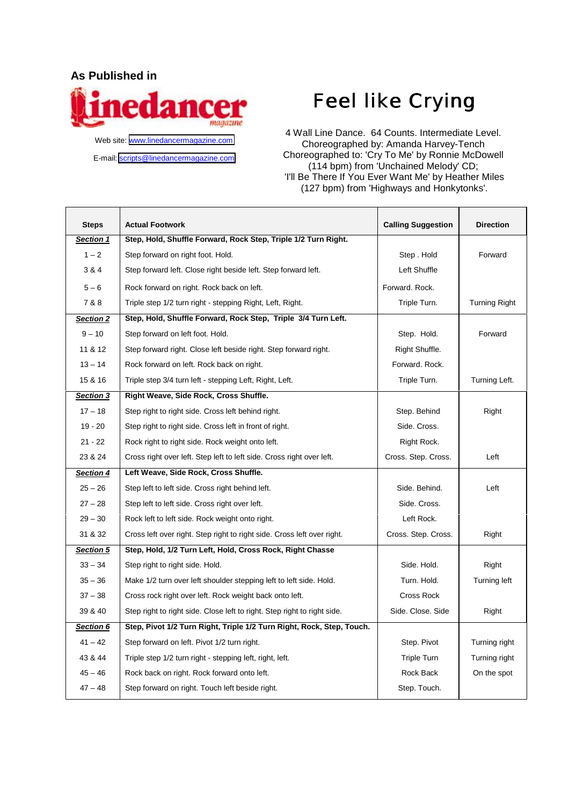## **As Published in**



Web site: [www.linedancermagazine.com](http://www.linedancermagazine.com/) E-mail: [scripts@linedancermagazine.com](mailto:admin@linedancermagazine.com)

## Feel like Crying

4 Wall Line Dance. 64 Counts. Intermediate Level. Choreographed by: Amanda Harvey-Tench Choreographed to: 'Cry To Me' by Ronnie McDowell (114 bpm) from 'Unchained Melody' CD; 'I'll Be There If You Ever Want Me' by Heather Miles (127 bpm) from 'Highways and Honkytonks'.

| <b>Steps</b>     | <b>Actual Footwork</b>                                                   | <b>Calling Suggestion</b> | <b>Direction</b> |
|------------------|--------------------------------------------------------------------------|---------------------------|------------------|
| Section 1        | Step, Hold, Shuffle Forward, Rock Step, Triple 1/2 Turn Right.           |                           |                  |
| $1 - 2$          | Step forward on right foot. Hold.                                        | Step. Hold                | Forward          |
| 3 & 4            | Step forward left. Close right beside left. Step forward left.           | Left Shuffle              |                  |
| $5 - 6$          | Rock forward on right. Rock back on left.                                | Forward. Rock.            |                  |
| 7 & 8            | Triple step 1/2 turn right - stepping Right, Left, Right.                | Triple Turn.              | Turning Right    |
| Section 2        | Step, Hold, Shuffle Forward, Rock Step, Triple 3/4 Turn Left.            |                           |                  |
| $9 - 10$         | Step forward on left foot. Hold.                                         | Step. Hold.               | Forward          |
| 11 & 12          | Step forward right. Close left beside right. Step forward right.         | Right Shuffle.            |                  |
| $13 - 14$        | Rock forward on left. Rock back on right.                                | Forward. Rock.            |                  |
| 15 & 16          | Triple step 3/4 turn left - stepping Left, Right, Left.                  | Triple Turn.              | Turning Left.    |
| Section 3        | Right Weave, Side Rock, Cross Shuffle.                                   |                           |                  |
| $17 - 18$        | Step right to right side. Cross left behind right.                       | Step. Behind              | Right            |
| $19 - 20$        | Step right to right side. Cross left in front of right.                  | Side. Cross.              |                  |
| $21 - 22$        | Rock right to right side. Rock weight onto left.                         | Right Rock.               |                  |
| 23 & 24          | Cross right over left. Step left to left side. Cross right over left.    | Cross. Step. Cross.       | Left             |
| <b>Section 4</b> | Left Weave, Side Rock, Cross Shuffle.                                    |                           |                  |
| $25 - 26$        | Step left to left side. Cross right behind left.                         | Side, Behind.             | Left             |
| $27 - 28$        | Step left to left side. Cross right over left.                           | Side. Cross.              |                  |
| $29 - 30$        | Rock left to left side. Rock weight onto right.                          | Left Rock.                |                  |
| 31 & 32          | Cross left over right. Step right to right side. Cross left over right.  | Cross. Step. Cross.       | Right            |
| <b>Section 5</b> | Step, Hold, 1/2 Turn Left, Hold, Cross Rock, Right Chasse                |                           |                  |
| $33 - 34$        | Step right to right side. Hold.                                          | Side, Hold.               | Right            |
| $35 - 36$        | Make 1/2 turn over left shoulder stepping left to left side. Hold.       | Turn. Hold.               | Turning left     |
| $37 - 38$        | Cross rock right over left. Rock weight back onto left.                  | Cross Rock                |                  |
| 39 & 40          | Step right to right side. Close left to right. Step right to right side. | Side. Close. Side         | Right            |
| Section 6        | Step, Pivot 1/2 Turn Right, Triple 1/2 Turn Right, Rock, Step, Touch.    |                           |                  |
| $41 - 42$        | Step forward on left. Pivot 1/2 turn right.                              | Step. Pivot               | Turning right    |
| 43 & 44          | Triple step 1/2 turn right - stepping left, right, left.                 | Triple Turn               | Turning right    |
| $45 - 46$        | Rock back on right. Rock forward onto left.                              | Rock Back                 | On the spot      |
| $47 - 48$        | Step forward on right. Touch left beside right.                          | Step. Touch.              |                  |